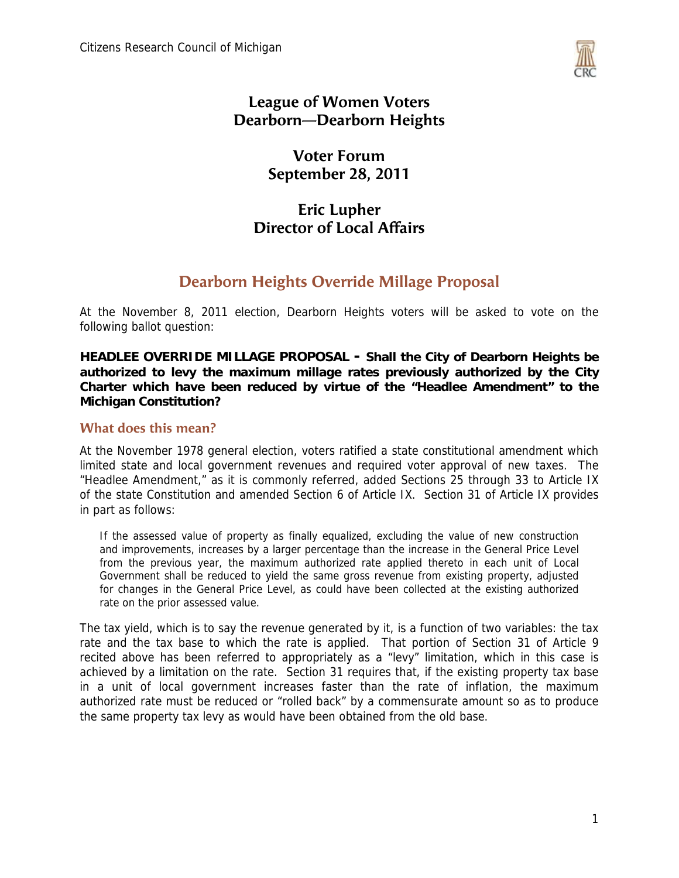

#### **League of Women Voters Dearborn—Dearborn Heights**

#### **Voter Forum September 28, 2011**

### **Eric Lupher Director of Local Affairs**

### **Dearborn Heights Override Millage Proposal**

At the November 8, 2011 election, Dearborn Heights voters will be asked to vote on the following ballot question:

**HEADLEE OVERRIDE MILLAGE PROPOSAL - Shall the City of Dearborn Heights be authorized to levy the maximum millage rates previously authorized by the City Charter which have been reduced by virtue of the "Headlee Amendment" to the Michigan Constitution?**

#### **What does this mean?**

At the November 1978 general election, voters ratified a state constitutional amendment which limited state and local government revenues and required voter approval of new taxes. The "Headlee Amendment," as it is commonly referred, added Sections 25 through 33 to Article IX of the state Constitution and amended Section 6 of Article IX. Section 31 of Article IX provides in part as follows:

If the assessed value of property as finally equalized, excluding the value of new construction and improvements, increases by a larger percentage than the increase in the General Price Level from the previous year, the maximum authorized rate applied thereto in each unit of Local Government shall be reduced to yield the same gross revenue from existing property, adjusted for changes in the General Price Level, as could have been collected at the existing authorized rate on the prior assessed value.

The tax yield, which is to say the revenue generated by it, is a function of two variables: the tax rate and the tax base to which the rate is applied. That portion of Section 31 of Article 9 recited above has been referred to appropriately as a "levy" limitation, which in this case is achieved by a limitation on the rate. Section 31 requires that, if the existing property tax base in a unit of local government increases faster than the rate of inflation, the maximum authorized rate must be reduced or "rolled back" by a commensurate amount so as to produce the same property tax levy as would have been obtained from the old base.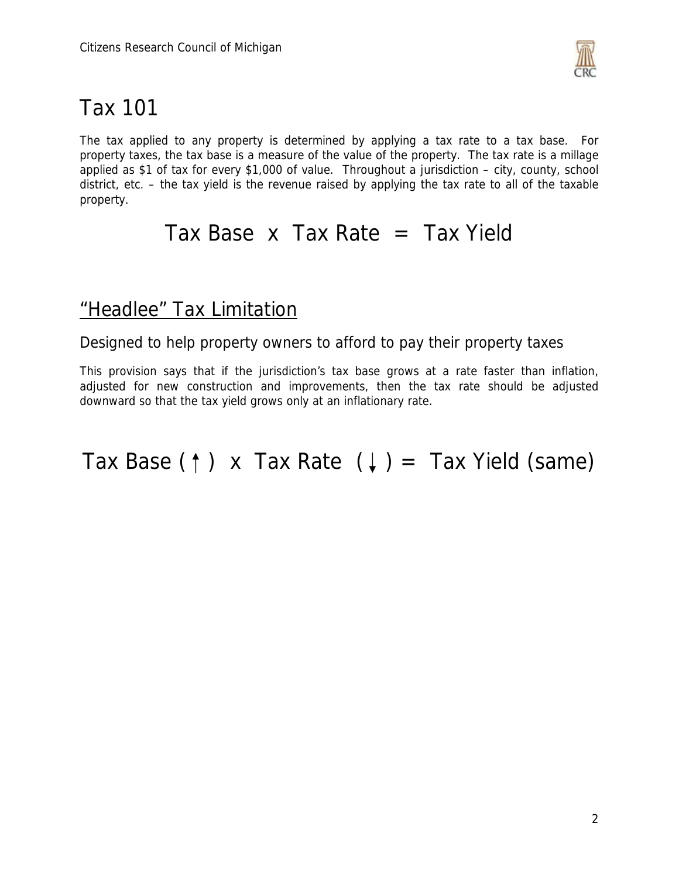

# Tax 101

The tax applied to any property is determined by applying a tax rate to a tax base. For property taxes, the tax base is a measure of the value of the property. The tax rate is a millage applied as \$1 of tax for every \$1,000 of value. Throughout a jurisdiction – city, county, school district, etc. – the tax yield is the revenue raised by applying the tax rate to all of the taxable property.

## Tax Base  $x$  Tax Rate  $=$  Tax Yield

## "Headlee" Tax Limitation

Designed to help property owners to afford to pay their property taxes

This provision says that if the jurisdiction's tax base grows at a rate faster than inflation, adjusted for new construction and improvements, then the tax rate should be adjusted downward so that the tax yield grows only at an inflationary rate.

Tax Base ( $\uparrow$ ) x Tax Rate ( $\downarrow$ ) = Tax Yield (same)